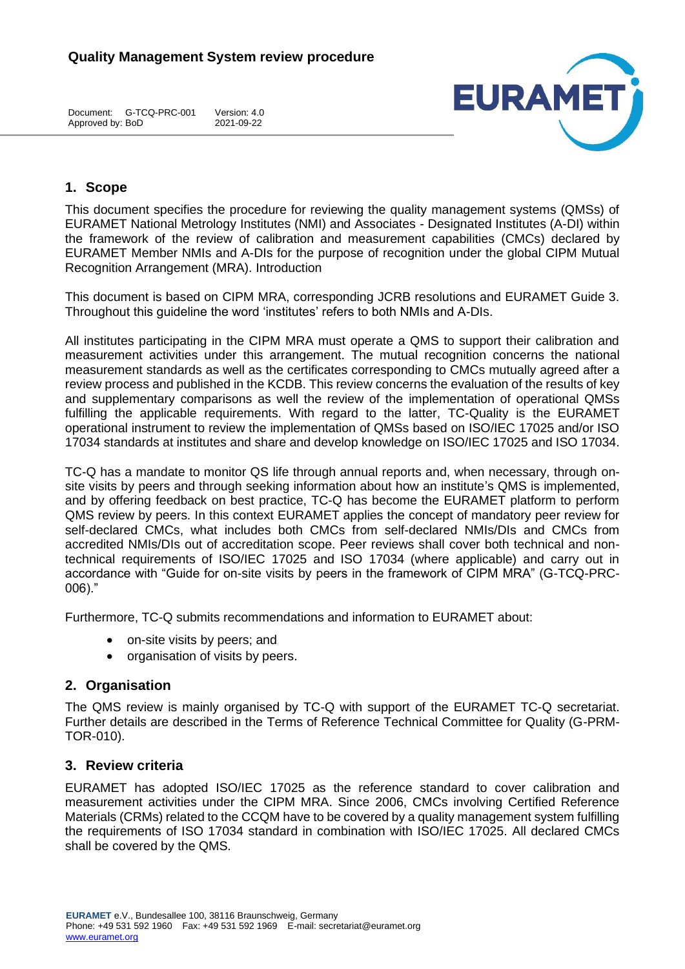Document: G-TCQ-PRC-001 Version: 4.0 Approved by: BoD



# **1. Scope**

This document specifies the procedure for reviewing the quality management systems (QMSs) of EURAMET National Metrology Institutes (NMI) and Associates - Designated Institutes (A-DI) within the framework of the review of calibration and measurement capabilities (CMCs) declared by EURAMET Member NMIs and A-DIs for the purpose of recognition under the global CIPM Mutual Recognition Arrangement (MRA). Introduction

This document is based on CIPM MRA, corresponding JCRB resolutions and EURAMET Guide 3. Throughout this guideline the word 'institutes' refers to both NMIs and A-DIs.

All institutes participating in the CIPM MRA must operate a QMS to support their calibration and measurement activities under this arrangement. The mutual recognition concerns the national measurement standards as well as the certificates corresponding to CMCs mutually agreed after a review process and published in the KCDB. This review concerns the evaluation of the results of key and supplementary comparisons as well the review of the implementation of operational QMSs fulfilling the applicable requirements. With regard to the latter, TC-Quality is the EURAMET operational instrument to review the implementation of QMSs based on ISO/IEC 17025 and/or ISO 17034 standards at institutes and share and develop knowledge on ISO/IEC 17025 and ISO 17034.

TC-Q has a mandate to monitor QS life through annual reports and, when necessary, through onsite visits by peers and through seeking information about how an institute's QMS is implemented, and by offering feedback on best practice, TC-Q has become the EURAMET platform to perform QMS review by peers. In this context EURAMET applies the concept of mandatory peer review for self-declared CMCs, what includes both CMCs from self-declared NMIs/DIs and CMCs from accredited NMIs/DIs out of accreditation scope. Peer reviews shall cover both technical and nontechnical requirements of ISO/IEC 17025 and ISO 17034 (where applicable) and carry out in accordance with "Guide for on-site visits by peers in the framework of CIPM MRA" (G-TCQ-PRC-006)."

Furthermore, TC-Q submits recommendations and information to EURAMET about:

- on-site visits by peers; and
- organisation of visits by peers.

## **2. Organisation**

The QMS review is mainly organised by TC-Q with support of the EURAMET TC-Q secretariat. Further details are described in the Terms of Reference Technical Committee for Quality (G-PRM-TOR-010).

## **3. Review criteria**

EURAMET has adopted ISO/IEC 17025 as the reference standard to cover calibration and measurement activities under the CIPM MRA. Since 2006, CMCs involving Certified Reference Materials (CRMs) related to the CCQM have to be covered by a quality management system fulfilling the requirements of ISO 17034 standard in combination with ISO/IEC 17025. All declared CMCs shall be covered by the QMS.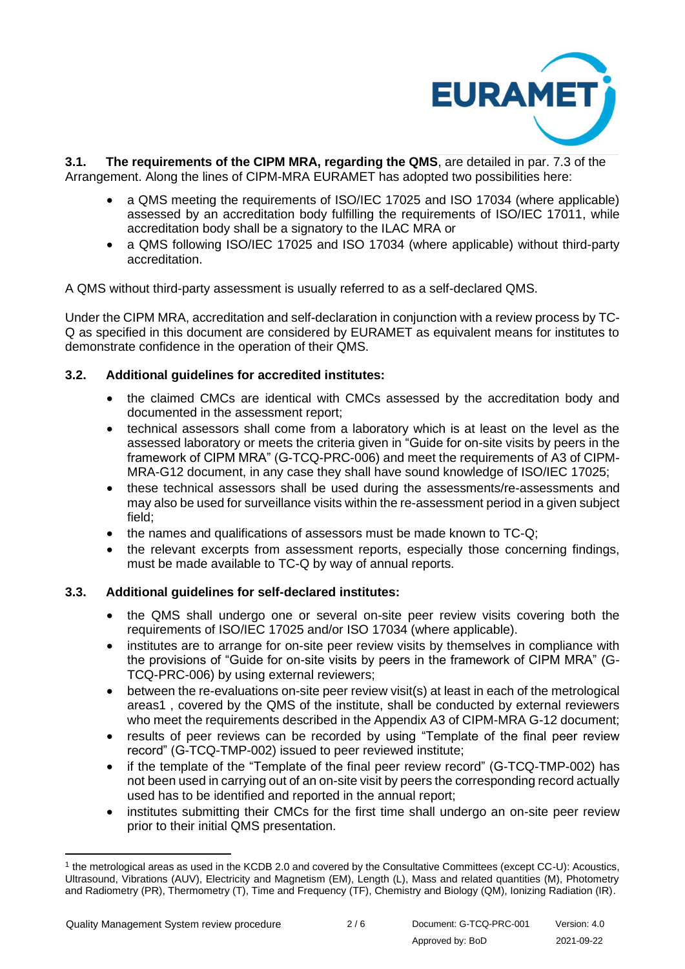

**3.1. The requirements of the CIPM MRA, regarding the QMS**, are detailed in par. 7.3 of the Arrangement. Along the lines of CIPM-MRA EURAMET has adopted two possibilities here:

- a QMS meeting the requirements of ISO/IEC 17025 and ISO 17034 (where applicable) assessed by an accreditation body fulfilling the requirements of ISO/IEC 17011, while accreditation body shall be a signatory to the ILAC MRA or
- a QMS following ISO/IEC 17025 and ISO 17034 (where applicable) without third-party accreditation.

A QMS without third-party assessment is usually referred to as a self-declared QMS.

Under the CIPM MRA, accreditation and self-declaration in conjunction with a review process by TC-Q as specified in this document are considered by EURAMET as equivalent means for institutes to demonstrate confidence in the operation of their QMS.

## **3.2. Additional guidelines for accredited institutes:**

- the claimed CMCs are identical with CMCs assessed by the accreditation body and documented in the assessment report;
- technical assessors shall come from a laboratory which is at least on the level as the assessed laboratory or meets the criteria given in "Guide for on-site visits by peers in the framework of CIPM MRA" (G-TCQ-PRC-006) and meet the requirements of A3 of CIPM-MRA-G12 document, in any case they shall have sound knowledge of ISO/IEC 17025;
- these technical assessors shall be used during the assessments/re-assessments and may also be used for surveillance visits within the re-assessment period in a given subject field;
- the names and qualifications of assessors must be made known to TC-Q;
- the relevant excerpts from assessment reports, especially those concerning findings, must be made available to TC-Q by way of annual reports.

## **3.3. Additional guidelines for self-declared institutes:**

- the QMS shall undergo one or several on-site peer review visits covering both the requirements of ISO/IEC 17025 and/or ISO 17034 (where applicable).
- institutes are to arrange for on-site peer review visits by themselves in compliance with the provisions of "Guide for on-site visits by peers in the framework of CIPM MRA" (G-TCQ-PRC-006) by using external reviewers;
- between the re-evaluations on-site peer review visit(s) at least in each of the metrological areas1 , covered by the QMS of the institute, shall be conducted by external reviewers who meet the requirements described in the Appendix A3 of CIPM-MRA G-12 document;
- results of peer reviews can be recorded by using "Template of the final peer review record" (G-TCQ-TMP-002) issued to peer reviewed institute;
- if the template of the "Template of the final peer review record" (G-TCQ-TMP-002) has not been used in carrying out of an on-site visit by peers the corresponding record actually used has to be identified and reported in the annual report;
- institutes submitting their CMCs for the first time shall undergo an on-site peer review prior to their initial QMS presentation.

<sup>1</sup> the metrological areas as used in the KCDB 2.0 and covered by the Consultative Committees (except CC-U): Acoustics, Ultrasound, Vibrations (AUV), Electricity and Magnetism (EM), Length (L), Mass and related quantities (M), Photometry and Radiometry (PR), Thermometry (T), Time and Frequency (TF), Chemistry and Biology (QM), Ionizing Radiation (IR).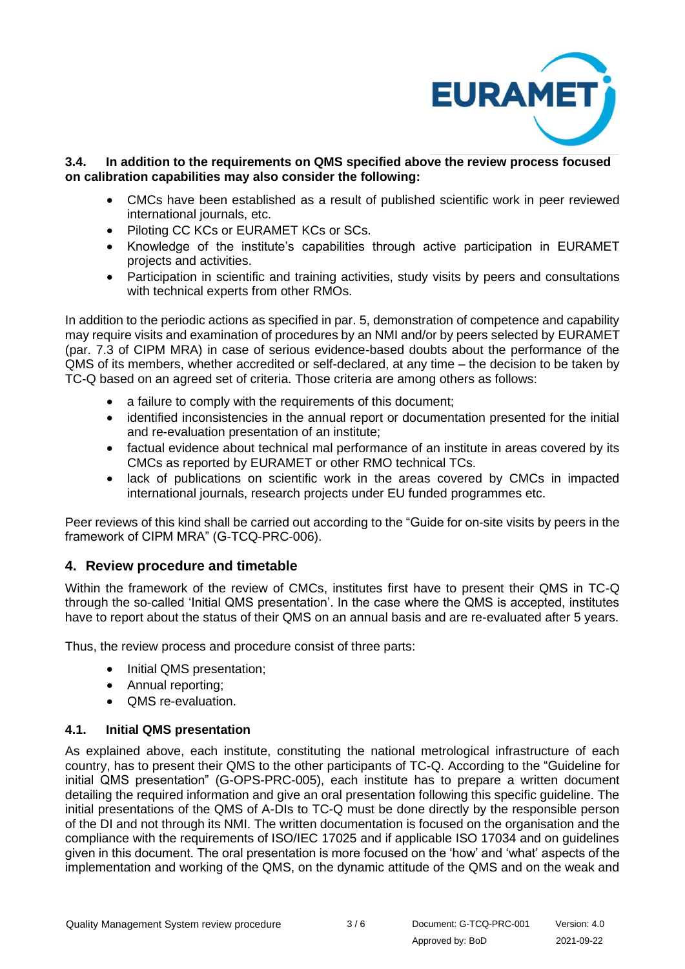

#### **3.4. In addition to the requirements on QMS specified above the review process focused on calibration capabilities may also consider the following:**

- CMCs have been established as a result of published scientific work in peer reviewed international journals, etc.
- Piloting CC KCs or EURAMET KCs or SCs.
- Knowledge of the institute's capabilities through active participation in EURAMET projects and activities.
- Participation in scientific and training activities, study visits by peers and consultations with technical experts from other RMOs.

In addition to the periodic actions as specified in par. 5, demonstration of competence and capability may require visits and examination of procedures by an NMI and/or by peers selected by EURAMET (par. 7.3 of CIPM MRA) in case of serious evidence-based doubts about the performance of the QMS of its members, whether accredited or self-declared, at any time – the decision to be taken by TC-Q based on an agreed set of criteria. Those criteria are among others as follows:

- a failure to comply with the requirements of this document;
- identified inconsistencies in the annual report or documentation presented for the initial and re-evaluation presentation of an institute;
- factual evidence about technical mal performance of an institute in areas covered by its CMCs as reported by EURAMET or other RMO technical TCs.
- lack of publications on scientific work in the areas covered by CMCs in impacted international journals, research projects under EU funded programmes etc.

Peer reviews of this kind shall be carried out according to the "Guide for on-site visits by peers in the framework of CIPM MRA" (G-TCQ-PRC-006).

# **4. Review procedure and timetable**

Within the framework of the review of CMCs, institutes first have to present their QMS in TC-Q through the so-called 'Initial QMS presentation'. In the case where the QMS is accepted, institutes have to report about the status of their QMS on an annual basis and are re-evaluated after 5 years.

Thus, the review process and procedure consist of three parts:

- Initial QMS presentation;
- Annual reporting;
- QMS re-evaluation.

## **4.1. Initial QMS presentation**

As explained above, each institute, constituting the national metrological infrastructure of each country, has to present their QMS to the other participants of TC-Q. According to the "Guideline for initial QMS presentation" (G-OPS-PRC-005), each institute has to prepare a written document detailing the required information and give an oral presentation following this specific guideline. The initial presentations of the QMS of A-DIs to TC-Q must be done directly by the responsible person of the DI and not through its NMI. The written documentation is focused on the organisation and the compliance with the requirements of ISO/IEC 17025 and if applicable ISO 17034 and on guidelines given in this document. The oral presentation is more focused on the 'how' and 'what' aspects of the implementation and working of the QMS, on the dynamic attitude of the QMS and on the weak and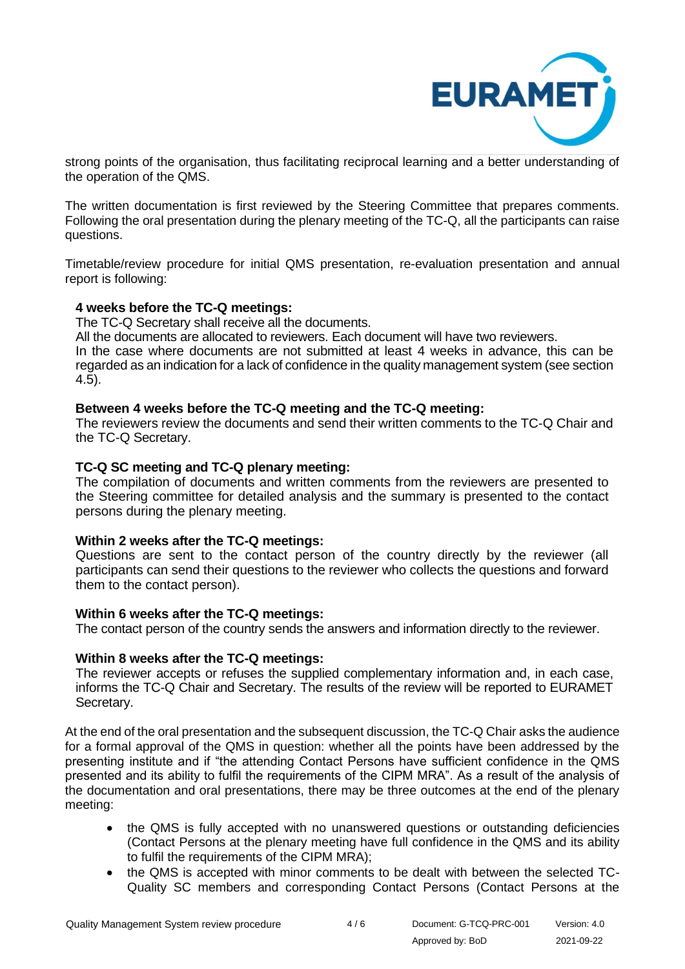

strong points of the organisation, thus facilitating reciprocal learning and a better understanding of the operation of the QMS.

The written documentation is first reviewed by the Steering Committee that prepares comments. Following the oral presentation during the plenary meeting of the TC-Q, all the participants can raise questions.

Timetable/review procedure for initial QMS presentation, re-evaluation presentation and annual report is following:

#### **4 weeks before the TC-Q meetings:**

The TC-Q Secretary shall receive all the documents.

All the documents are allocated to reviewers. Each document will have two reviewers.

In the case where documents are not submitted at least 4 weeks in advance, this can be regarded as an indication for a lack of confidence in the quality management system (see section 4.5).

## **Between 4 weeks before the TC-Q meeting and the TC-Q meeting:**

The reviewers review the documents and send their written comments to the TC-Q Chair and the TC-Q Secretary.

#### **TC-Q SC meeting and TC-Q plenary meeting:**

The compilation of documents and written comments from the reviewers are presented to the Steering committee for detailed analysis and the summary is presented to the contact persons during the plenary meeting.

## **Within 2 weeks after the TC-Q meetings:**

Questions are sent to the contact person of the country directly by the reviewer (all participants can send their questions to the reviewer who collects the questions and forward them to the contact person).

## **Within 6 weeks after the TC-Q meetings:**

The contact person of the country sends the answers and information directly to the reviewer.

## **Within 8 weeks after the TC-Q meetings:**

The reviewer accepts or refuses the supplied complementary information and, in each case, informs the TC-Q Chair and Secretary. The results of the review will be reported to EURAMET Secretary.

At the end of the oral presentation and the subsequent discussion, the TC-Q Chair asks the audience for a formal approval of the QMS in question: whether all the points have been addressed by the presenting institute and if "the attending Contact Persons have sufficient confidence in the QMS presented and its ability to fulfil the requirements of the CIPM MRA". As a result of the analysis of the documentation and oral presentations, there may be three outcomes at the end of the plenary meeting:

- the QMS is fully accepted with no unanswered questions or outstanding deficiencies (Contact Persons at the plenary meeting have full confidence in the QMS and its ability to fulfil the requirements of the CIPM MRA);
- the QMS is accepted with minor comments to be dealt with between the selected TC-Quality SC members and corresponding Contact Persons (Contact Persons at the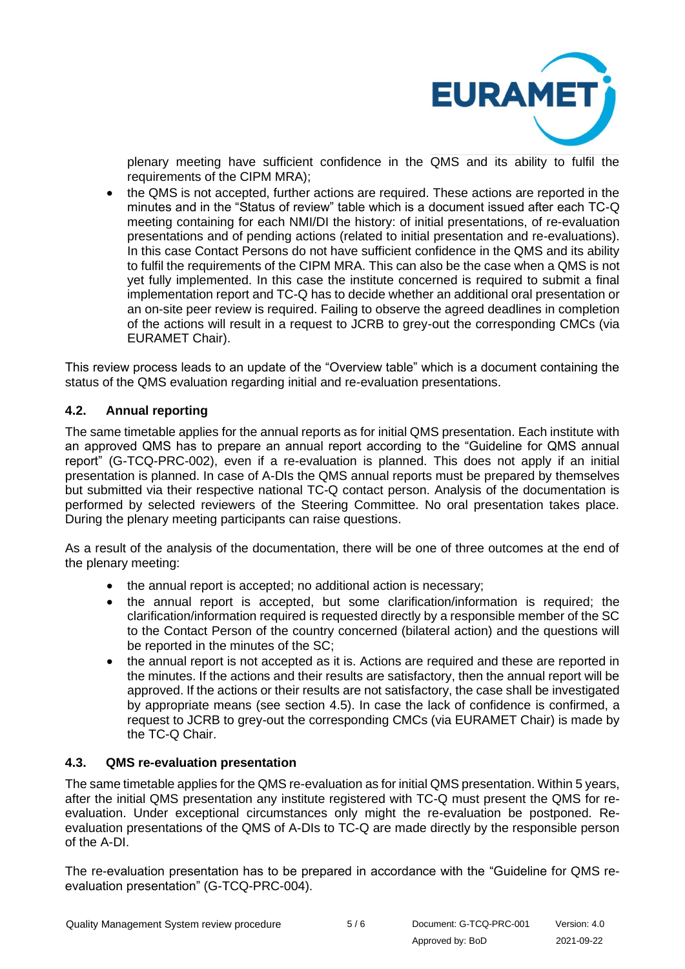

plenary meeting have sufficient confidence in the QMS and its ability to fulfil the requirements of the CIPM MRA);

• the QMS is not accepted, further actions are required. These actions are reported in the minutes and in the "Status of review" table which is a document issued after each TC-Q meeting containing for each NMI/DI the history: of initial presentations, of re-evaluation presentations and of pending actions (related to initial presentation and re-evaluations). In this case Contact Persons do not have sufficient confidence in the QMS and its ability to fulfil the requirements of the CIPM MRA. This can also be the case when a QMS is not yet fully implemented. In this case the institute concerned is required to submit a final implementation report and TC-Q has to decide whether an additional oral presentation or an on-site peer review is required. Failing to observe the agreed deadlines in completion of the actions will result in a request to JCRB to grey-out the corresponding CMCs (via EURAMET Chair).

This review process leads to an update of the "Overview table" which is a document containing the status of the QMS evaluation regarding initial and re-evaluation presentations.

## **4.2. Annual reporting**

The same timetable applies for the annual reports as for initial QMS presentation. Each institute with an approved QMS has to prepare an annual report according to the "Guideline for QMS annual report" (G-TCQ-PRC-002), even if a re-evaluation is planned. This does not apply if an initial presentation is planned. In case of A-DIs the QMS annual reports must be prepared by themselves but submitted via their respective national TC-Q contact person. Analysis of the documentation is performed by selected reviewers of the Steering Committee. No oral presentation takes place. During the plenary meeting participants can raise questions.

As a result of the analysis of the documentation, there will be one of three outcomes at the end of the plenary meeting:

- the annual report is accepted; no additional action is necessary;
- the annual report is accepted, but some clarification/information is required; the clarification/information required is requested directly by a responsible member of the SC to the Contact Person of the country concerned (bilateral action) and the questions will be reported in the minutes of the SC;
- the annual report is not accepted as it is. Actions are required and these are reported in the minutes. If the actions and their results are satisfactory, then the annual report will be approved. If the actions or their results are not satisfactory, the case shall be investigated by appropriate means (see section 4.5). In case the lack of confidence is confirmed, a request to JCRB to grey-out the corresponding CMCs (via EURAMET Chair) is made by the TC-Q Chair.

## **4.3. QMS re-evaluation presentation**

The same timetable applies for the QMS re-evaluation as for initial QMS presentation. Within 5 years, after the initial QMS presentation any institute registered with TC-Q must present the QMS for reevaluation. Under exceptional circumstances only might the re-evaluation be postponed. Reevaluation presentations of the QMS of A-DIs to TC-Q are made directly by the responsible person of the A-DI.

The re-evaluation presentation has to be prepared in accordance with the "Guideline for QMS reevaluation presentation" (G-TCQ-PRC-004).